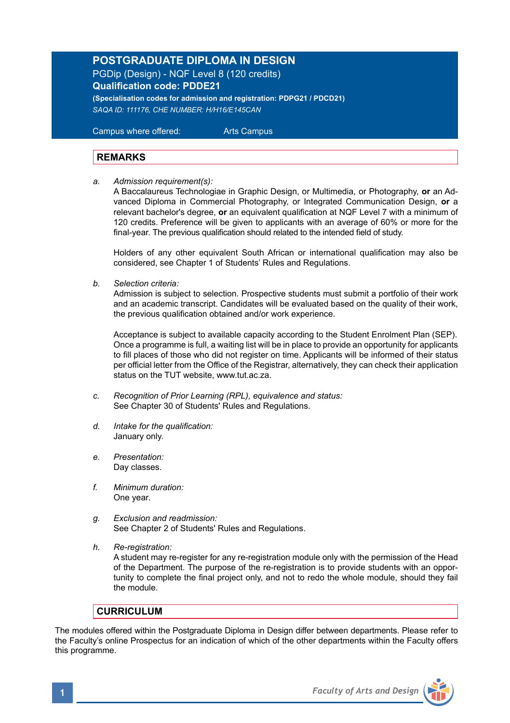## **POSTGRADUATE DIPLOMA IN DESIGN**

PGDip (Design) - NQF Level 8 (120 credits) **Qualification code: PDDE21**

**(Specialisation codes for admission and registration: PDPG21 / PDCD21)** *SAQA ID: 111176, CHE NUMBER: H/H16/E145CAN* 

 Campus where offered: Arts Campus

## **REMARKS**

*a. Admission requirement(s):* 

A Baccalaureus Technologiae in Graphic Design, or Multimedia, or Photography, **or** an Advanced Diploma in Commercial Photography, or Integrated Communication Design, **or** a relevant bachelor's degree, **or** an equivalent qualification at NQF Level 7 with a minimum of 120 credits. Preference will be given to applicants with an average of 60% or more for the final-year. The previous qualification should related to the intended field of study.

Holders of any other equivalent South African or international qualification may also be considered, see Chapter 1 of Students' Rules and Regulations.

*b. Selection criteria:*

Admission is subject to selection. Prospective students must submit a portfolio of their work and an academic transcript. Candidates will be evaluated based on the quality of their work, the previous qualification obtained and/or work experience.

 Acceptance is subject to available capacity according to the Student Enrolment Plan (SEP). Once a programme is full, a waiting list will be in place to provide an opportunity for applicants to fill places of those who did not register on time. Applicants will be informed of their status per official letter from the Office of the Registrar, alternatively, they can check their application status on the TUT website, www.tut.ac.za.

- *c. Recognition of Prior Learning (RPL), equivalence and status:* See Chapter 30 of Students' Rules and Regulations.
- *d. Intake for the qualification:* January only.
- *e. Presentation:* Day classes.
- *f. Minimum duration:* One year.
- *g. Exclusion and readmission:* See Chapter 2 of Students' Rules and Regulations.
- *h. Re-registration:*

A student may re-register for any re-registration module only with the permission of the Head of the Department. The purpose of the re-registration is to provide students with an opportunity to complete the final project only, and not to redo the whole module, should they fail the module.

### **CURRICULUM**

The modules offered within the Postgraduate Diploma in Design differ between departments. Please refer to the Faculty's online Prospectus for an indication of which of the other departments within the Faculty offers this programme.

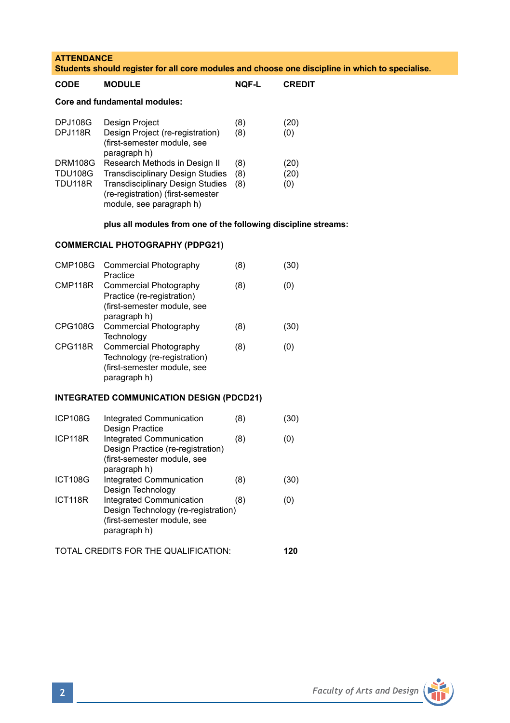| <b>ATTENDANCE</b><br>Students should register for all core modules and choose one discipline in which to specialise. |                                                                                                                                                                                      |                   |                     |
|----------------------------------------------------------------------------------------------------------------------|--------------------------------------------------------------------------------------------------------------------------------------------------------------------------------------|-------------------|---------------------|
| CODE                                                                                                                 | <b>MODULE</b>                                                                                                                                                                        | NOF-L             | <b>CREDIT</b>       |
| <b>Core and fundamental modules:</b>                                                                                 |                                                                                                                                                                                      |                   |                     |
| <b>DPJ108G</b><br>DPJ118R                                                                                            | Design Project<br>Design Project (re-registration)<br>(first-semester module, see<br>paragraph h)                                                                                    | (8)<br>(8)        | (20)<br>(0)         |
| DRM108G<br><b>TDU108G</b><br>TDU118R                                                                                 | Research Methods in Design II<br><b>Transdisciplinary Design Studies</b><br><b>Transdisciplinary Design Studies</b><br>(re-registration) (first-semester<br>module, see paragraph h) | (8)<br>(8)<br>(8) | (20)<br>(20)<br>(0) |
| plus all modules from one of the following discipline streams:                                                       |                                                                                                                                                                                      |                   |                     |
| <b>COMMERCIAL PHOTOGRAPHY (PDPG21)</b>                                                                               |                                                                                                                                                                                      |                   |                     |
| <b>CMP108G</b>                                                                                                       | Commercial Photography<br>Practice                                                                                                                                                   | (8)               | (30)                |
| CMP118R                                                                                                              | Commercial Photography<br>Practice (re-registration)<br>(first-semester module, see<br>paragraph h)                                                                                  | (8)               | (0)                 |
| CPG108G                                                                                                              | Commercial Photography<br>Technology                                                                                                                                                 | (8)               | (30)                |
| CPG118R                                                                                                              | Commercial Photography<br>Technology (re-registration)<br>(first-semester module, see<br>paragraph h)                                                                                | (8)               | (0)                 |
| <b>INTEGRATED COMMUNICATION DESIGN (PDCD21)</b>                                                                      |                                                                                                                                                                                      |                   |                     |
| <b>ICP108G</b>                                                                                                       | Integrated Communication<br>Design Practice                                                                                                                                          | (8)               | (30)                |
| ICP118R                                                                                                              | Integrated Communication<br>Design Practice (re-registration)<br>(first-semester module, see<br>paragraph h)                                                                         | (8)               | (0)                 |
| <b>ICT108G</b>                                                                                                       | Integrated Communication<br>Design Technology                                                                                                                                        | (8)               | (30)                |
| ICT118R                                                                                                              | <b>Integrated Communication</b><br>Design Technology (re-registration)<br>(first-semester module, see<br>paragraph h)                                                                | (8)               | (0)                 |
| TOTAL CREDITS FOR THE QUALIFICATION:                                                                                 |                                                                                                                                                                                      |                   | 120                 |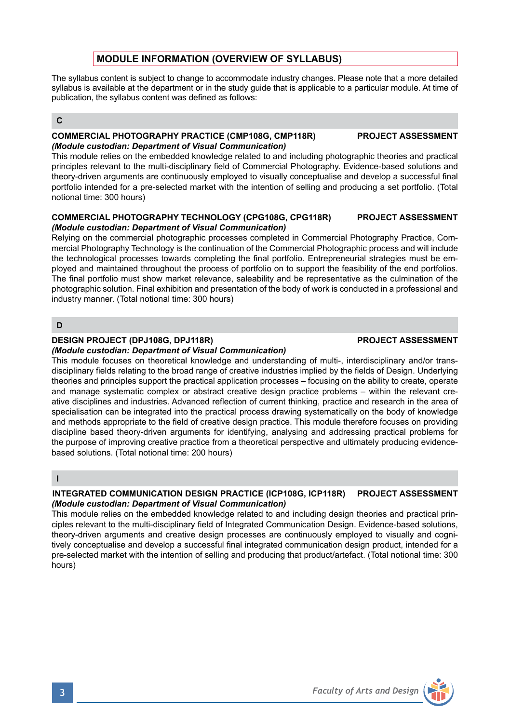# **MODULE INFORMATION (OVERVIEW OF SYLLABUS)**

The syllabus content is subject to change to accommodate industry changes. Please note that a more detailed syllabus is available at the department or in the study guide that is applicable to a particular module. At time of publication, the syllabus content was defined as follows:

## **C**

## **COMMERCIAL PHOTOGRAPHY PRACTICE (CMP108G, CMP118R) PROJECT ASSESSMENT** *(Module custodian: Department of Visual Communication)*

This module relies on the embedded knowledge related to and including photographic theories and practical principles relevant to the multi-disciplinary field of Commercial Photography. Evidence-based solutions and theory-driven arguments are continuously employed to visually conceptualise and develop a successful final portfolio intended for a pre-selected market with the intention of selling and producing a set portfolio. (Total notional time: 300 hours)

#### **COMMERCIAL PHOTOGRAPHY TECHNOLOGY (CPG108G, CPG118R) PROJECT ASSESSMENT** *(Module custodian: Department of Visual Communication)*

Relying on the commercial photographic processes completed in Commercial Photography Practice, Commercial Photography Technology is the continuation of the Commercial Photographic process and will include the technological processes towards completing the final portfolio. Entrepreneurial strategies must be employed and maintained throughout the process of portfolio on to support the feasibility of the end portfolios. The final portfolio must show market relevance, saleability and be representative as the culmination of the photographic solution. Final exhibition and presentation of the body of work is conducted in a professional and industry manner. (Total notional time: 300 hours)

## **D**

### **DESIGN PROJECT (DPJ108G, DPJ118R)** PROJECT ASSESSMENT

#### *(Module custodian: Department of Visual Communication)*

This module focuses on theoretical knowledge and understanding of multi-, interdisciplinary and/or transdisciplinary fields relating to the broad range of creative industries implied by the fields of Design. Underlying theories and principles support the practical application processes – focusing on the ability to create, operate and manage systematic complex or abstract creative design practice problems – within the relevant creative disciplines and industries. Advanced reflection of current thinking, practice and research in the area of specialisation can be integrated into the practical process drawing systematically on the body of knowledge and methods appropriate to the field of creative design practice. This module therefore focuses on providing discipline based theory-driven arguments for identifying, analysing and addressing practical problems for the purpose of improving creative practice from a theoretical perspective and ultimately producing evidencebased solutions. (Total notional time: 200 hours)

## **I**

### **INTEGRATED COMMUNICATION DESIGN PRACTICE (ICP108G, ICP118R) PROJECT ASSESSMENT** *(Module custodian: Department of Visual Communication)*

This module relies on the embedded knowledge related to and including design theories and practical principles relevant to the multi-disciplinary field of Integrated Communication Design. Evidence-based solutions, theory-driven arguments and creative design processes are continuously employed to visually and cognitively conceptualise and develop a successful final integrated communication design product, intended for a pre-selected market with the intention of selling and producing that product/artefact. (Total notional time: 300 hours)